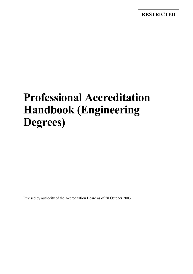# **Professional Accreditation Handbook (Engineering Degrees)**

Revised by authority of the Accreditation Board as of 28 October 2003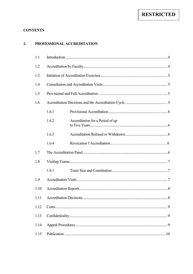## **RESTRICTED**

## **CONTENTS**

#### 1. PROFESSIONAL ACCREDITATION

| 1.1  |           |                                  |  |
|------|-----------|----------------------------------|--|
| 1.2  |           |                                  |  |
| 1.3  |           |                                  |  |
| 1.4  |           |                                  |  |
| 1.5  |           |                                  |  |
| 1.6  |           |                                  |  |
|      | 1.6.1     |                                  |  |
|      | 1.6.2     | Accreditation for a Period of up |  |
|      | 1.6.3     |                                  |  |
|      | 1.6.4     |                                  |  |
| 1.7  |           |                                  |  |
| 1.8  |           |                                  |  |
|      | 1.8.1     |                                  |  |
| 1.9  |           |                                  |  |
| 1.10 |           |                                  |  |
| 1.11 |           |                                  |  |
| 1.12 |           |                                  |  |
| 1.13 |           |                                  |  |
| 1.14 | $\cdot$ 9 |                                  |  |
| 1.15 |           |                                  |  |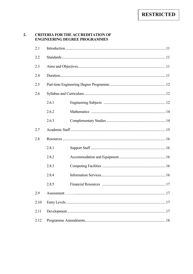#### $2.$ **CRITERIA FOR THE ACCREDITATION OF ENGINEERING DEGREE PROGRAMMES**

| 2.1  |       |  |  |  |  |
|------|-------|--|--|--|--|
| 2.2  |       |  |  |  |  |
| 2.3  |       |  |  |  |  |
| 2.4  |       |  |  |  |  |
| 2.5  |       |  |  |  |  |
| 2.6  |       |  |  |  |  |
|      | 2.6.1 |  |  |  |  |
|      | 2.6.2 |  |  |  |  |
|      | 2.6.3 |  |  |  |  |
| 2.7  |       |  |  |  |  |
| 2.8  |       |  |  |  |  |
|      | 2.8.1 |  |  |  |  |
|      | 2.8.2 |  |  |  |  |
|      | 2.8.3 |  |  |  |  |
|      | 2.8.4 |  |  |  |  |
|      | 2.8.5 |  |  |  |  |
| 2.9  |       |  |  |  |  |
| 2.10 |       |  |  |  |  |
| 2.11 |       |  |  |  |  |
| 2.12 |       |  |  |  |  |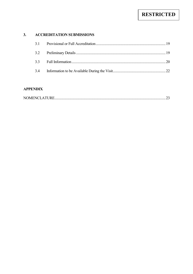#### $3.$ **ACCREDITATION SUBMISSIONS**

## **APPENDIX**

|--|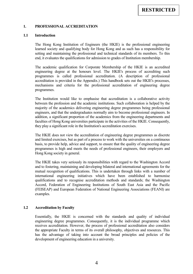#### <span id="page-4-0"></span>**1. PROFESSIONAL ACCREDITATION**

#### **1.1 Introduction**

 The Hong Kong Institution of Engineers (the HKIE) is the professional engineering learned society and qualifying body for Hong Kong and as such has a responsibility for setting and maintaining the professional and technical standards of its members. To this end, it evaluates the qualifications for admission to grades of Institution membership.

 The academic qualification for Corporate Membership of the HKIE is an accredited engineering degree at the honours level. The HKIE's process of accrediting such programmes is called professional accreditation. (A description of professional accreditation is provided in the Appendix.) This handbook sets out the HKIE's processes, mechanisms and criteria for the professional accreditation of engineering degree programmes.

 The Institution would like to emphasise that accreditation is a collaborative activity between the profession and the academic institutions. Such collaboration is helped by the majority of the academics delivering engineering degree programmes being professional engineers, and that the undergraduates normally aim to become professional engineers. In addition, a significant proportion of the academics from the engineering departments and faculties of Hong Kong universities participate in the activities of the HKIE. Consequently, they play a significant role in the Institution's accreditation exercises.

 The HKIE does not view the accreditation of engineering degree programmes as discrete and limited exercises, but as part of a process to work with the universities on a continuous basis, to provide help, advice and support, to ensure that the quality of engineering degree programmes is high and meets the needs of professional engineers, their employers and Hong Kong society in general.

 and to fostering, maintaining and developing bilateral and international agreements for the mutual recognition of qualifications. This is undertaken through links with a number of international engineering initiatives which have been established to harmonise Accord, Federation of Engineering Institutions of South East Asia and the Pacific The HKIE takes very seriously its responsibilities with regard to the Washington Accord qualifications and to recognise accreditation methods and standards; the Washington (FEISEAP) and European Federation of National Engineering Associations (FEANI) are examples.

#### **1.2 Accreditation by Faculty**

 receives accreditation. However, the process of professional accreditation also considers has the advantage of taking into account the broad principles and policies of the Essentially, the HKIE is concerned with the standards and quality of individual engineering degree programmes. Consequently, it is the individual programme which the appropriate Faculty in terms of its overall philosophy, objectives and resources. This development of engineering education in a university.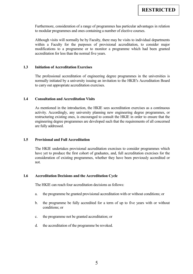<span id="page-5-0"></span>Furthermore, consideration of a range of programmes has particular advantages in relation to modular programmes and ones containing a number of elective courses.

 Although visits will normally be by Faculty, there may be visits to individual departments within a Faculty for the purposes of provisional accreditation, to consider major modifications to a programme or to monitor a programme which had been granted accreditation for less than the normal five years.

#### **1.3 Initiation of Accreditation Exercises**

 The professional accreditation of engineering degree programmes in the universities is normally initiated by a university issuing an invitation to the HKIE's Accreditation Board to carry out appropriate accreditation exercises.

#### **1.4 Consultation and Accreditation Visits**

 restructuring existing ones, is encouraged to consult the HKIE in order to ensure that the As mentioned in the introduction, the HKIE sees accreditation exercises as a continuous activity. Accordingly, any university planning new engineering degree programmes, or engineering degree programmes are developed such that the requirements of all concerned are fully addressed.

#### **1.5 Provisional and Full Accreditation**

 The HKIE undertakes provisional accreditation exercises to consider programmes which have yet to produce the first cohort of graduates, and, full accreditation exercises for the consideration of existing programmes, whether they have been previously accredited or not.

#### **1.6 Accreditation Decisions and the Accreditation Cycle**

The HKIE can reach four accreditation decisions as follows:

- a. the programme be granted provisional accreditation with or without conditions; or
- b. the programme be fully accredited for a term of up to five years with or without conditions; or
- c. the programme not be granted accreditation; or
- d. the accreditation of the programme be revoked.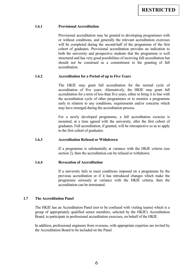#### <span id="page-6-0"></span>**1.6.1 Provisional Accreditation**

 or without conditions, and generally the relevant accreditation exercises will be completed during the second-half of the programme of the first cohort of graduates. Provisional accreditation provides an indication to both the university and prospective students that the programme is well structured and has very good possibilities of receiving full accreditation but should not be construed as a commitment to the granting of full Provisional accreditation may be granted to developing programmes with accreditation.

#### **1.6.2 Accreditation for a Period of up to Five Years**

 The HKIE may grant full accreditation for the normal cycle of accreditation of five years. Alternatively, the HKIE may grant full accreditation for a term of less than five years, either to bring it in line with early in relation to any conditions, requirements and/or concerns which the accreditation cycle of other programmes or to monitor a programme may have emerged during the accreditation process.

 For a newly developed programme, a full accreditation exercise is mounted, at a time agreed with the university, after the first cohort of graduates. Full accreditation, if granted, will be retrospective so as to apply to the first cohort of graduates.

#### **1.6.3 Accreditation Refused or Withdrawn**

 If a programme is substantially at variance with the HKIE criteria (see section 2), then the accreditation can be refused or withdrawn.

#### **1.6.4 Revocation of Accreditation**

 If a university fails to meet conditions imposed on a programme by the programme seriously at variance with the HKIE criteria, then the previous accreditation or if it has introduced changes which make the accreditation can be terminated.

#### **1.7 The Accreditation Panel**

 The HKIE has an Accreditation Panel (not to be confused with visiting teams) which is a group of appropriately qualified senior members, selected by the HKIE's Accreditation Board, to participate in professional accreditation exercises, on behalf of the HKIE.

 In addition, professional engineers from overseas, with appropriate expertise are invited by the Accreditation Board to be included on the Panel.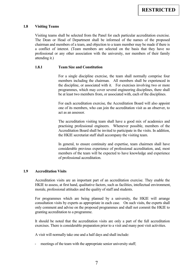#### <span id="page-7-0"></span>**1.8 Visiting Teams**

 Visiting teams shall be selected from the Panel for each particular accreditation exercise. The Dean or Head of Department shall be informed of the names of the proposed a conflict of interest. (Team members are selected on the basis that they have no chairman and members of a team, and objection to a team member may be made if there is professional or any other association with the university, nor members of their family attending it.)

#### **1.8.1 Team Size and Constitution**

 For a single discipline exercise, the team shall normally comprise four members including the chairman. All members shall be experienced in the discipline, or associated with it. For exercises involving two or more programmes, which may cover several engineering disciplines, there shall be at least two members from, or associated with, each of the disciplines.

 one of its members, who can join the accreditation visit as an observer, to For each accreditation exercise, the Accreditation Board will also appoint act as an assessor.

 practising professional engineers. Whenever possible, members of the Accreditation Board shall be invited to participate in the visits. In addition, The accreditation visiting team shall have a good mix of academics and the HKIE secretariat staff shall accompany the visiting team.

 In general, to ensure continuity and expertise, team chairmen shall have members of the team will be expected to have knowledge and experience considerable previous experience of professional accreditation, and, most of professional accreditation.

#### **1.9 Accreditation Visits**

 Accreditation visits are an important part of an accreditation exercise. They enable the HKIE to assess, at first hand, qualitative factors, such as facilities, intellectual environment, morale, professional attitudes and the quality of staff and students.

 For programmes which are being planned by a university, the HKIE will arrange consultation visits by experts as appropriate in each case. On such visits, the experts shall only comment and advise on the proposed programmes and shall not commit the HKIE to granting accreditation to a programme.

It should be noted that the accreditation visits are only a part of the full accreditation exercises. There is considerable preparation prior to a visit and many post visit activities.

A visit will normally take one and a half days and shall include:

- meetings of the team with the appropriate senior university staff;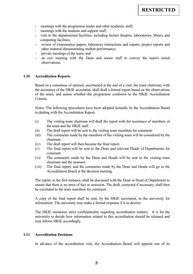- <span id="page-8-0"></span>- meetings with the programme leader and other academic staff;
- meetings with the students and support staff;
- visit to the departmental facilities, including lecture theatres, laboratories, library and computing facilities;
- - review of examination papers, laboratory instructions and reports, project reports and other material demonstrating student performance;
- private meetings of the team; and
- - an exit meeting with the Dean and senior staff to convey the team's initial observations.

#### **1.10 Accreditation Reports**

 Based on a consensus of opinion, ascertained at the end of a visit, the team chairman, with the assistance of the HKIE secretariat, shall draft a formal report based on the observations of the team, and assess whether the programme conforms to the HKIE Accreditation Criteria.

Notes: The following procedures have been adopted formally by the Accreditation Board in dealing with the Accreditation Report.

- $(i)$ The visiting team chairman will draft the report with the assistance of members of the team and the HKIE staff.
- (ii) The draft report will be sent to the visiting team members for comment.
- (iii) The comments made by the members of the visiting team will be considered by the chairman.
- (iv) The draft report will then become the final report.
- (v) The final report will be sent to the Dean and relevant Heads of Departments for comment.
- (vi) The comments made by the Dean and Heads will be sent to the visiting team chairman and the assessor.
- (vii) The final report, and the comments made by the Dean and Heads will go to the Accreditation Board at the decision meeting.

 ensure that there is no error of fact or omission. The draft, corrected if necessary, shall then be circulated to the team members for comment The report, in the first instance, shall be discussed with the Dean or Head of Department to

be circulated to the team members for comment.<br>A copy of the final report shall be sent, by the HKIE secretariat, to the university for information. The university may make a formal response if it so desires.

 The HKIE maintains strict confidentiality regarding accreditation matters. It is for the university to decide how information related to this accreditation should be released and may inform HKIE accordingly.

#### **1.11 Accreditation Decisions**

In advance of the accreditation visit, the Accreditation Board will appoint one of its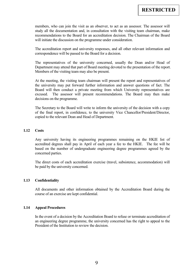<span id="page-9-0"></span> members, who can join the visit as an observer, to act as an assessor. The assessor will study all the documentation and, in consultation with the visiting team chairman, make recommendations to the Board for an accreditation decision. The Chairman of the Board will initiate the discussion on the programme under consideration.

The accreditation report and university responses, and all other relevant information and correspondence will be passed to the Board for a decision.

 The representatives of the university concerned, usually the Dean and/or Head of Department may attend that part of Board meeting devoted to the presentation of the report. Members of the visiting team may also be present.

 Board will then conduct a private meeting from which University representatives are At the meeting, the visiting team chairman will present the report and representatives of the university may put forward further information and answer questions of fact. The excused. The assessor will present recommendations. The Board may then make decisions on the programme.

 The Secretary to the Board will write to inform the university of the decision with a copy of the final report, in confidence, to the university Vice Chancellor/President/Director, copied to the relevant Dean and Head of Department.

#### **1.12 Costs**

 accredited degrees shall pay in April of each year a fee to the HKIE. The fee will be based on the number of undergraduate engineering degree programmes agreed by the Any university having its engineering programmes remaining on the HKIE list of concerned parties.

The direct costs of each accreditation exercise (travel, subsistence, accommodation) will be paid by the university concerned.

#### **1.13 Confidentiality**

 All documents and other information obtained by the Accreditation Board during the course of an exercise are kept confidential.

#### **1.14 Appeal Procedures**

 In the event of a decision by the Accreditation Board to refuse or terminate accreditation of an engineering degree programme, the university concerned has the right to appeal to the President of the Institution to review the decision.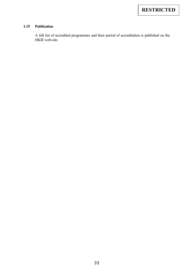## <span id="page-10-0"></span>**1.15 Publication**

 A full list of accredited programmes and their period of accreditation is published on the HKIE web-site.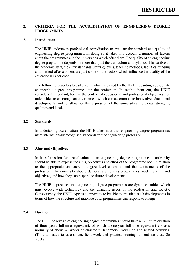#### <span id="page-11-0"></span> **2. CRITERIA FOR THE ACCREDITATION OF ENGINEERING DEGREE PROGRAMMES**

#### **2.1 Introduction**

 The HKIE undertakes professional accreditation to evaluate the standard and quality of about the programmes and the universities which offer them. The quality of an engineering degree programme depends on more than just the curriculum and syllabus. The calibre of the academic staff, the entry standards, staffing levels, teaching methods, facilities, funding and method of assessment are just some of the factors which influence the quality of the engineering degree programmes. In doing so it takes into account a number of factors educational experience.

 The following describes broad criteria which are used by the HKIE regarding appropriate engineering degree programmes for the profession. In setting them out, the HKIE considers it important, both in the context of educational and professional objectives, for universities to encourage an environment which can accommodate innovative educational developments and to allow for the expression of the university's individual strengths, qualities and ideals.

#### **2.2 Standards**

In undertaking accreditation, the HKIE takes note that engineering degree programmes meet internationally recognised standards for the engineering profession.

#### **2.3 Aims and Objectives**

 should be able to express the aims, objectives and ethos of the programme both in relation In its submission for accreditation of an engineering degree programme, a university to the appropriate standards of degree level education and the requirements of the profession. The university should demonstrate how its programmes meet the aims and objectives, and how they can respond to future developments.

 must evolve with technology and the changing needs of the profession and society. The HKIE appreciates that engineering degree programmes are dynamic entities which Consequently, the HKIE expects a university to be able to articulate such developments in terms of how the structure and rationale of its programmes can respond to change.

#### **2.4 Duration**

 The HKIE believes that engineering degree programmes should have a minimum duration of three years full-time equivalent, of which a one-year full-time equivalent consists normally of about 26 weeks of classroom, laboratory, workshop and related activities. (Time allocated to assessment, field work and practical training fall outside these 26 weeks.)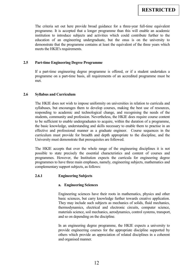<span id="page-12-0"></span> The criteria set out here provide broad guidance for a three-year full-time equivalent institution to introduce subjects and activities which could contribute further to the education of an engineering undergraduate, but the onus is on the university to programme. It is accepted that a longer programme than this will enable an academic demonstrate that the programme contains at least the equivalent of the three years which meets the HKIE's requirements.

## **2.5 Part-time Engineering Degree Programme**

If a part-time engineering degree programme is offered, or if a student undertakes a programme on a part-time basis, all requirements of an accredited programme must be met.

#### **2.6 Syllabus and Curriculum**

 syllabuses, but encourages them to develop courses, making the best use of resources, responding to academic and technological change, and recognising the needs of the students, community and profession. Nevertheless, the HKIE does require course content to be sufficient to enable undergraduates to acquire, within the duration of a programme, The HKIE does not wish to impose uniformity on universities in relation to curricula and the basic knowledge, understanding and skills necessary to enable them to practise in an effective and professional manner as a graduate engineer. Course sequences in the curriculum must provide for breadth and depth appropriate to the discipline, and the University must demonstrate that prerequisites are followed.

 The HKIE accepts that over the whole range of the engineering disciplines it is not programmes to have three main emphases, namely, engineering subjects, mathematics and possible to state precisely the essential characteristics and content of courses and programmes. However, the Institution expects the curricula for engineering degree complementary support subjects, as follows:

## **2.6.1 Engineering Subjects**

#### **a. Engineering Sciences**

 basic sciences, but carry knowledge further towards creative application. thermodynamics, electrical and electronic circuits, computer science, materials science, soil mechanics, aerodynamics, control systems, transport, Engineering sciences have their roots in mathematics, physics and other They may include such subjects as mechanics of solids, fluid mechanics, and so on depending on the discipline.

 provide engineering courses for the appropriate discipline supported by In an engineering degree programme, the HKIE expects a university to others which provide an appreciation of related disciplines in a coherent and organised manner.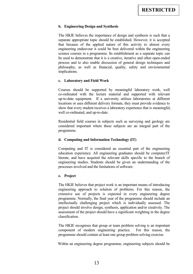#### **b. Engineering Design and Synthesis**

 separate appropriate topic should be established. However, it is accepted science courses in a programme. Its establishment as a separate topic can implications. The HKIE believes the importance of design and synthesis is such that a that because of the applied nature of this activity to almost every engineering endeavour it could be best delivered within the engineering be used to demonstrate that it is a creative, iterative and often open-ended process and to also enable discussion of general design techniques and philosophy, as well as financial, quality, safety and environmental

#### **c. Laboratory and Field Work**

 Courses should be supported by meaningful laboratory work, well up-to-date equipment. If a university utilises laboratories at different locations or uses different delivery formats, they must provide evidence to show that every student receives a laboratory experience that is meaningful, co-ordinated with the lecture material and supported with relevant well co-ordinated, and up-to-date.

 Residential field courses in subjects such as surveying and geology are considered important where these subjects are an integral part of the programme.

## **d. Computing and Information Technology (IT)**

 Computing and IT is considered an essential part of the engineering education experience. All engineering graduates should be computer/IT literate, and have acquired the relevant skills specific to the branch of engineering studies. Students should be given an understanding of the processes involved and the limitations of software.

#### **e. Project**

 intellectually challenging project which is individually assessed. The assessment of the project should have a significant weighting in the degree The HKIE believes that project work is an important means of introducing engineering approach to solution of problems. For this reason, the extensive use of projects is expected in every engineering degree programme. Normally, the final year of the programme should include an project should involve design, synthesis, application and/or creativity. The classification.

 The HKIE recognises that group or team problem solving is an important component of modern engineering practice. For this reason, the programme should contain at least one group problem solving exercise.

Within an engineering degree programme, engineering subjects should be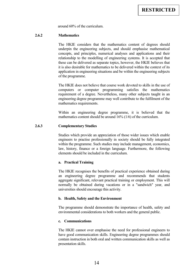around 60% of the curriculum.

#### <span id="page-14-0"></span>**2.6.2 Mathematics**

 The HKIE considers that the mathematics content of degrees should concepts, and principles, numerical analyses and applications and their relationship to the modelling of engineering systems. It is accepted that these can be delivered as separate topics, however, the HKIE believes that it is also desirable for mathematics to be delivered within the context of its underpin the engineering subjects, and should emphasise mathematical application in engineering situations and be within the engineering subjects of the programme.

 The HKIE does not believe that course work devoted to skills in the use of requirement of a degree. Nevertheless, many other subjects taught in an engineering degree programme may well contribute to the fulfilment of the computers or computer programming satisfies the mathematics mathematics requirements.

 Within an engineering degree programme, it is believed that the mathematics content should be around 16% (1/6) of the curriculum.

#### **2.6.3 Complementary Studies**

 engineers to practise professionally in society should be fully integrated Studies which provide an appreciation of those wider issues which enable within the programme. Such studies may include management, economics, law, history, finance or a foreign language. Furthermore, the following elements should be included in the curriculum.

#### **a. Practical Training**

 The HKIE recognises the benefits of practical experience obtained during an engineering degree programme and recommends that students aggregate significant, relevant practical training or employment. This will normally be obtained during vacations or in a "sandwich" year, and universities should encourage this activity.

#### **b. Health, Safety and the Environment**

 The programme should demonstrate the importance of health, safety and environmental considerations to both workers and the general public.

#### **c. Communications**

 The HKIE cannot over emphasise the need for professional engineers to contain instruction in both oral and written communication skills as well as have good communication skills. Engineering degree programmes should presentation skills.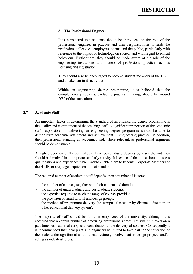#### <span id="page-15-0"></span>**d. The Professional Engineer**

 It is considered that students should be introduced to the role of the professional engineer in practice and their responsibilities towards the engineering institutions and matters of professional practice such as profession, colleagues, employers, clients and the public, particularly with reference to the impact of technology on society and with regard to ethical behaviour. Furthermore, they should be made aware of the role of the licensing and registration.

 They should also be encouraged to become student members of the HKIE and to take part in its activities.

 Within an engineering degree programme, it is believed that the complementary subjects, excluding practical training, should be around 20% of the curriculum.

#### **2.7 Academic Staff**

 the quality and commitment of the teaching staff. A significant proportion of the academic their professional standing as academics and, where relevant, as professional engineers An important factor in determining the standard of an engineering degree programme is staff responsible for delivering an engineering degree programme should be able to demonstrate academic attainment and achievement in engineering practice. In addition, should be demonstrable.

A high proportion of the staff should have postgraduate degrees by research, and they should be involved in appropriate scholarly activity. It is expected that most should possess qualifications and experience which would enable them to become Corporate Members of the HKIE, or are judged equivalent to that standard.

The required number of academic staff depends upon a number of factors:

- the number of courses, together with their content and duration;
- the number of undergraduate and postgraduate students;
- the expertise required to teach the range of courses provided;
- the provision of small tutorial and design groups;
- - the method of programme delivery (on campus classes or by distance education or other educational delivery system).

 The majority of staff should be full-time employees of the university, although it is part-time basis can make a special contribution to the delivery of courses. Consequently it the students through formal and informal lectures, involvement in design projects and/or accepted that a certain number of practising professionals from industry, employed on a is recommended that local practising engineers be invited to take part in the education of acting as industrial tutors.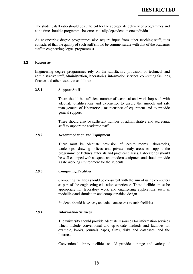<span id="page-16-0"></span> The student/staff ratio should be sufficient for the appropriate delivery of programmes and at no time should a programme become critically dependent on one individual.

 As engineering degree programmes also require input from other teaching staff, it is considered that the quality of such staff should be commensurate with that of the academic staff in engineering degree programmes.

#### **2.8 Resources**

 administrative staff, administration, laboratories, information services, computing facilities, Engineering degree programmes rely on the satisfactory provision of technical and finance and other resources as follows:

#### **2.8.1 Support Staff**

 adequate qualifications and experience to ensure the smooth and safe There should be sufficient number of technical and workshop staff with management of laboratories, maintenance of equipment and to provide general support.

There should also be sufficient number of administrative and secretariat staff to support the academic staff.

#### **2.8.2 Accommodation and Equipment**

 There must be adequate provision of lecture rooms, laboratories, workshops, drawing offices and private study areas to support the programme of lectures, tutorials and practical classes. Laboratories should be well equipped with adequate and modern equipment and should provide a safe working environment for the students.

#### **2.8.3 Computing Facilities**

 Computing facilities should be consistent with the aim of using computers appropriate for laboratory work and engineering applications such as as part of the engineering education experience. These facilities must be modelling and simulation and computer aided design.

Students should have easy and adequate access to such facilities.

#### **Information Services 2.8.4**

 The university should provide adequate resources for information services which include conventional and up-to-date methods and facilities for example, books, journals, tapes, films, disks and databases, and the Internet.

Conventional library facilities should provide a range and variety of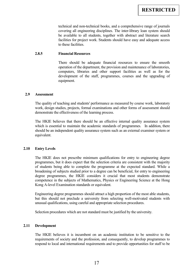covering all engineering disciplines. The inter-library loan system should facilities for project work. Students should have easy and adequate access technical and non-technical books, and a comprehensive range of journals be available to all students, together with abstract and literature search to these facilities.

#### <span id="page-17-0"></span>**2.8.5 Financial Resources**

 There should be adequate financial resources to ensure the smooth operation of the department, the provision and maintenance of laboratories, computers, libraries and other support facilities as well as for the development of the staff, programmes, courses and the upgrading of equipment.

#### **2.9 Assessment**

The quality of teaching and students' performance as measured by course work, laboratory work, design studies, projects, formal examinations and other forms of assessment should demonstrate the effectiveness of the learning process.

 The HKIE believes that there should be an effective internal quality assurance system which is essential to maintain the academic standards of programmes. In addition, there should be an independent quality assurance system such as an external examiner system or equivalent.

#### **2.10 Entry Levels**

 of students being able to complete the programme at the expected standard. While a degree programmes, the HKIE considers it crucial that most students demonstrate competence in the subjects of Mathematics, Physics or Engineering Science at the Hong The HKIE does not prescribe minimum qualifications for entry to engineering degree programmes, but it does expect that the selection criteria are consistent with the majority broadening of subjects studied prior to a degree can be beneficial, for entry to engineering Kong A-level Examination standards or equivalent.

Engineering degree programmes should attract a high proportion of the most able students, but this should not preclude a university from selecting well-motivated students with unusual qualifications, using careful and appropriate selection procedures.

Selection procedures which are not standard must be justified by the university.

#### **2.11 Development**

 The HKIE believes it is incumbent on an academic institution to be sensitive to the respond to local and international requirements and to provide opportunities for staff to be requirements of society and the profession, and consequently, to develop programmes to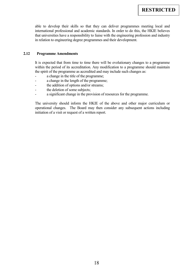<span id="page-18-0"></span> international professional and academic standards. In order to do this, the HKIE believes that universities have a responsibility to liaise with the engineering profession and industry able to develop their skills so that they can deliver programmes meeting local and in relation to engineering degree programmes and their development.

#### **2.12 Programme Amendments**

It is expected that from time to time there will be evolutionary changes to a programme within the period of its accreditation. Any modification to a programme should maintain the spirit of the programme as accredited and may include such changes as:

- a change in the title of the programme;
- a change in the length of the programme;
- the addition of options and/or streams;
- the deletion of some subjects;
- a significant change in the provision of resources for the programme.

 The university should inform the HKIE of the above and other major curriculum or operational changes. The Board may then consider any subsequent actions including initiation of a visit or request of a written report.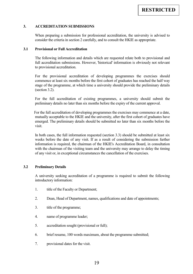#### <span id="page-19-0"></span> $\overline{3}$ . **3. ACCREDITATION SUBMISSIONS**

When preparing a submission for professional accreditation, the university is advised to consider the criteria in section 2 carefully, and to consult the HKIE as appropriate.

#### **3.1 Provisional or Full Accreditation**

 full accreditation submissions. However, 'historical' information is obviously not relevant The following information and details which are requested relate both to provisional and to provisional accreditation.

 For the provisional accreditation of developing programmes the exercises should stage of the programme, at which time a university should provide the preliminary details commence at least six months before the first cohort of graduates has reached the half way (section 3.2).

For the full accreditation of existing programmes, a university should submit the preliminary details no later than six months before the expiry of the current approval.

 For the full accreditation of developing programmes the exercises may commence at a date, mutually acceptable to the HKIE and the university, after the first cohort of graduates have emerged. The preliminary details should be submitted no later than six months before the visit.

 weeks before the date of any visit. If as a result of considering the submission further with the chairman of the visiting team and the university may arrange to delay the timing In both cases, the full information requested (section 3.3) should be submitted at least six information is required, the chairman of the HKIE's Accreditation Board, in consultation of any visit or, in exceptional circumstances the cancellation of the exercises.

#### **3.2 Preliminary Details**

 A university seeking accreditation of a programme is required to submit the following introductory information:

- $\mathbf{1}$ title of the Faculty or Department;
- 2. Dean, Head of Department, names, qualifications and date of appointments;
- $3<sub>1</sub>$ title of the programme;
- 4. name of programme leader;
- 5. accreditation sought (provisional or full);
- 6. brief resume, 100 words maximum, about the programme submitted;
- 7. provisional dates for the visit.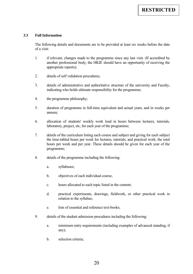## <span id="page-20-0"></span>**3.3 Full Information**

 The following details and documents are to be provided at least six weeks before the date of a visit:

- $\mathbf{1}$  another professional body, the HKIE should have an opportunity of receiving the if relevant, changes made to the programme since any last visit. (If accredited by appropriate reports);
- 2. details of self validation procedures;
- 3. details of administrative and authoritative structure of the university and Faculty, indicating who holds ultimate responsibility for the programme;
- 4. the programme philosophy;
- 5. duration of programme in full-time equivalent and actual years, and in weeks per annum;
- 6. allocation of students' weekly work load in hours between lectures, tutorials, laboratory, project, etc, for each year of the programme;
- 7. details of the curriculum listing each course and subject and giving for each subject the time-tabled hours per week for lectures, tutorials, and practical work, the total hours per week and per year. These details should be given for each year of the programme;
- 8. details of the programme including the following:
	- a. syllabuses;
	- b. objectives of each individual course;
	- c. hours allocated to each topic listed in the content;
	- d. practical experiments, drawings, fieldwork, or other practical work in relation to the syllabus;
	- e. lists of essential and reference text-books;
- 9. details of the student admission procedures including the following:
	- a. minimum entry requirements (including examples of advanced standing, if any);
	- $\mathbf{b}$ . selection criteria;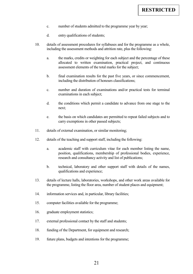- c. number of students admitted to the programme year by year;
- d. entry qualifications of students;
- 10. details of assessment procedures for syllabuses and for the programme as a whole, including the assessment methods and attrition rate, plus the following:
	- $a$ . the marks, credits or weighting for each subject and the percentage of these allocated to written examination, practical project, and continuous assessment elements of the total marks for the subject;
	- b. final examination results for the past five years, or since commencement, including the distribution of honours classifications;
	- c. number and duration of examinations and/or practical tests for terminal examinations in each subject;
	- d. the conditions which permit a candidate to advance from one stage to the next;
	- $\mathbf{e}$ the basis on which candidates are permitted to repeat failed subjects and to carry exemptions in other passed subjects;
- $11$ details of external examination, or similar monitoring;
- 12. details of the teaching and support staff, including the following:
	- $\mathbf{a}$ academic staff with curriculum vitae for each member listing the name, position, qualifications, membership of professional bodies, experience, research and consultancy activity and list of publications;
	- b. technical, laboratory and other support staff with details of the names, qualifications and experience;
- 13. details of lecture halls, laboratories, workshops, and other work areas available for the programme, listing the floor area, number of student places and equipment;
- $14.$ information services and, in particular, library facilities;
- $15<sup>1</sup>$ computer facilities available for the programme;
- $16.$ graduate employment statistics;
- 17. external professional contact by the staff and students;
- 18. funding of the Department, for equipment and research;
- 19. future plans, budgets and intentions for the programme;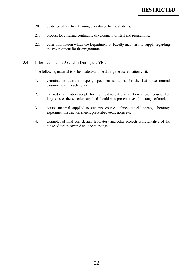- <span id="page-22-0"></span>20. evidence of practical training undertaken by the students;
- 21. process for ensuring continuing development of staff and programme;
- 22. other information which the Department or Faculty may wish to supply regarding the environment for the programme.

## **3.4 Information to be Available During the Visit**

The following material is to be made available during the accreditation visit:

- 1. examination question papers, specimen solutions for the last three normal examinations in each course;
- 2. marked examination scripts for the most recent examination in each course. For large classes the selection supplied should be representative of the range of marks;
- 3. course material supplied to students: course outlines, tutorial sheets, laboratory experiment instruction sheets, prescribed texts, notes etc;
- 4. examples of final year design, laboratory and other projects representative of the range of topics covered and the markings.